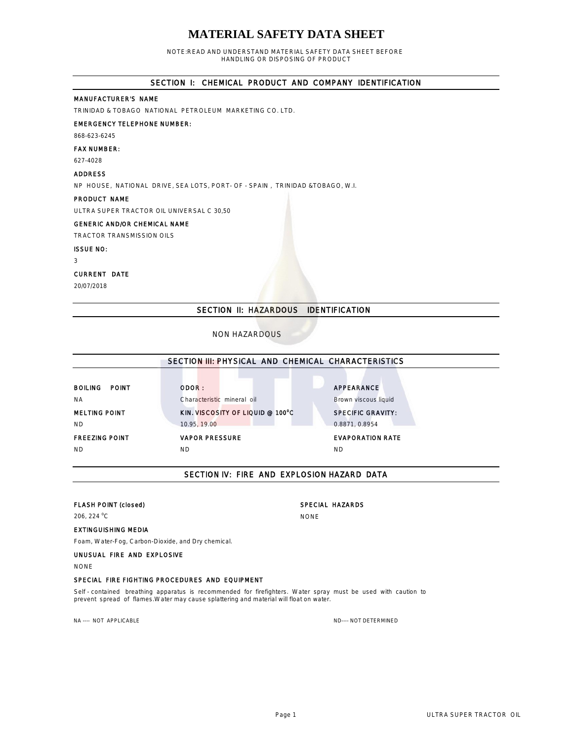# **MATERIAL SAFETY DATA SHEET**

NOTE:READ AND UNDERSTAND MATERIAL SAFETY DATA SHEET BEFORE HANDLING OR DISPOSING OF PRODUCT

## SECTION I: CHEMICAL PRODUCT AND COMPANY IDENTIFICATION

## MANUFACTURER'S NAME

TRINIDAD & TOBAGO NATIONAL PETROLEUM MARKETING CO. LTD.

## EMERGENCY TELEPHONE NUMBER:

868-623-6245

## FAX NUMBER:

627-4028

## ADDRESS

NP HOUSE, NATIONAL DRIVE, SEA LOTS, PORT- OF - SPAIN , TRINIDAD &TOBAGO, W.I.

#### PRODUCT NAME

ULTRA SUPER TRACTOR OIL UNIVERSAL C 30,50

#### GENERIC AND/OR CHEMICAL NAME

TRACTOR TRANSMISSION OILS

#### ISSUE NO:

3

#### CURRENT DATE

20/07/2018

## SECTION II: HAZARDOUS IDENTIFICATION

## NON HAZARDOUS

|                                | SECTION III: PHYSICAL AND CHEMICAL CHARACTERISTICS |                          |  |
|--------------------------------|----------------------------------------------------|--------------------------|--|
|                                |                                                    |                          |  |
| <b>BOILING</b><br><b>POINT</b> | ODOR:                                              | APPEARANCE               |  |
| <b>NA</b>                      | Characteristic mineral oil                         | Brown viscous liquid     |  |
| <b>MELTING POINT</b>           | KIN. VISCOSITY OF LIQUID @ 100°C                   | <b>SPECIFIC GRAVITY:</b> |  |
| <b>ND</b>                      | 10.95, 19.00                                       | 0.8871, 0.8954           |  |
| <b>FREEZING POINT</b>          | <b>VAPOR PRESSURE</b>                              | <b>EVAPORATION RATE</b>  |  |
| ND.                            | ΝD                                                 | ND                       |  |
|                                |                                                    |                          |  |

## SECTION IV: FIRE AND EXPLOSION HAZARD DATA

## FLASH POINT (closed) SPECIAL HAZARDS

206, 224 °C NONE

## EXTINGUISHING MEDIA

Foam, Water-Fog, Carbon-Dioxide, and Dry chemical.

## UNUSUAL FIRE AND EXPLOSIVE

NONE

#### SPECIAL FIRE FIGHTING PROCEDURES AND EQUIPMENT

Self - contained breathing apparatus is recommended for firefighters. Water spray must be used with caution to prevent spread of flames.Water may cause splattering and material will float on water.

NA ---- NOT APPLICABLE ND--- NOT APPLICABLE ND---- NOT DETERMINED

## Page 1 ULTRA SUPER TRACTOR OIL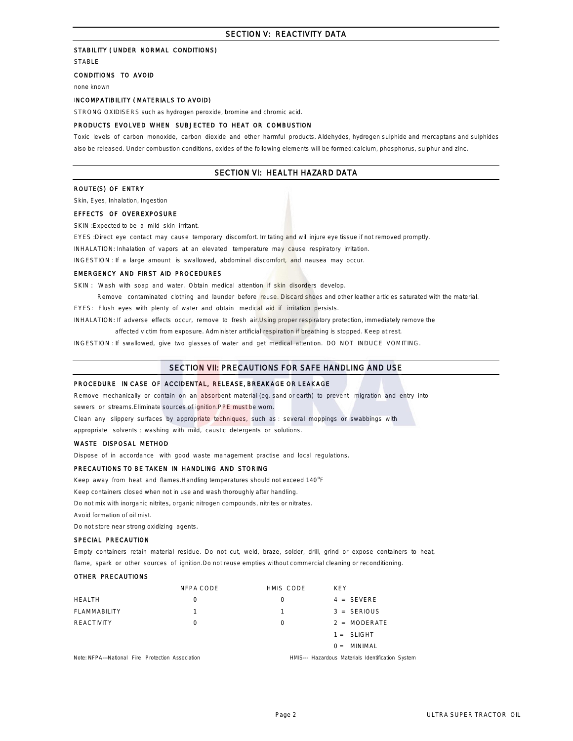## SECTION V: REACTIVITY DATA

## STABILITY ( UNDER NORMAL CONDITIONS)

STABLE

## CONDITIONS TO AVOID

none known

#### INCOMPATIBILITY ( MATERIALS TO AVOID)

STRONG OXIDISERS such as hydrogen peroxide, bromine and chromic acid.

#### PRODUCTS EVOLVED WHEN SUBJECTED TO HEAT OR COMBUSTION

Toxic levels of carbon monoxide, carbon dioxide and other harmful products. Aldehydes, hydrogen sulphide and mercaptans and sulphides also be released. Under combustion conditions, oxides of the following elements will be formed:calcium, phosphorus, sulphur and zinc.

### SECTION VI: HEALTH HAZARD DATA

## ROUTE(S) OF ENTRY

Skin, Eyes, Inhalation, Ingestion

#### EFFECTS OF OVEREXPOSURE

SKIN : Expected to be a mild skin irritant.

EYES :Direct eye contact may cause temporary discomfort. Irritating and will injure eye tissue if not removed promptly

INHALATION: Inhalation of vapors at an elevated temperature may cause respiratory irritation.

INGESTION : If a large amount is swallowed, abdominal discomfort, and nausea may occur.

#### EMERGENCY AND FIRST AID PROCEDURES

SKIN : Wash with soap and water. Obtain medical attention if skin disorders develop.

Remove contaminated clothing and launder before reuse. Discard shoes and other leather articles saturated with the material.

EYES: Flush eyes with plenty of water and obtain medical aid if irritation persists.

INHALATION: If adverse effects occur, remove to fresh air.Using proper respiratory protection, immediately remove the

affected victim from exposure. Administer artificial respiration if breathing is stopped. Keep at rest.

INGESTION : If swallowed, give two glasses of water and get medical attention. DO NOT INDUCE VOMITING.

## SECTION VII: PRECAUTIONS FOR SAFE HANDLING AND USE

#### PROCEDURE IN CASE OF ACCIDENTAL, RELEASE, BREAKAGE OR LEAKAGE

Remove mechanically or contain on an absorbent material (eg. sand or earth) to prevent migration and entry into

sewers or streams.Eliminate sources of ignition.PPE must be worn.

Clean any slippery surfaces by appropriate techniques, such as : several moppings or swabbings with

appropriate solvents ; washing with mild, caustic detergents or solutions.

#### WASTE DISPOSAL METHOD

Dispose of in accordance with good waste management practise and local regulations.

#### PRECAUTIONS TO BE TAKEN IN HANDLING AND STORING

Keep away from heat and flames. Handling temperatures should not exceed 140°F

Keep containers closed when not in use and wash thoroughly after handling.

Do not mix with inorganic nitrites, organic nitrogen compounds, nitrites or nitrates.

Avoid formation of oil mist.

Do not store near strong oxidizing agents.

#### SPECIAL PRECAUTION

Empty containers retain material residue. Do not cut, weld, braze, solder, drill, grind or expose containers to heat, flame, spark or other sources of ignition. Do not reuse empties without commercial cleaning or reconditioning

#### OTHER PRECAUTIONS

|                                                   | NFPA CODE | HMIS CODE | <b>KFY</b>                                        |
|---------------------------------------------------|-----------|-----------|---------------------------------------------------|
| <b>HEALTH</b>                                     | $\Omega$  | $\Omega$  | $4 = SEVERE$                                      |
| FLAMMABILITY                                      |           |           | $3 = SERIOUS$                                     |
| REACTIVITY                                        | 0         | $\Omega$  | 2 = MODERATE                                      |
|                                                   |           |           | $1 = SLIGHT$                                      |
|                                                   |           |           | $0 =$ MINIMAL                                     |
| Note: NFPA---National Fire Protection Association |           |           | HMIS--- Hazardous Materials Identification System |